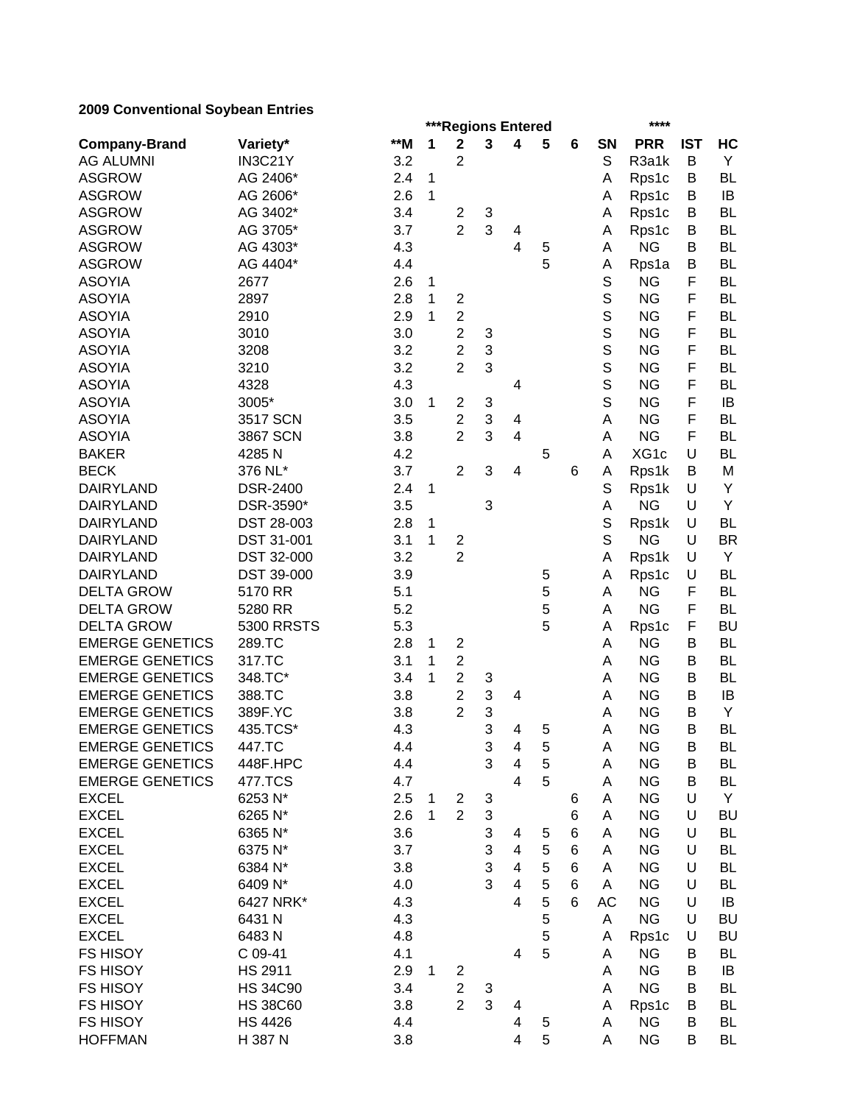|                        |                   |       |              | <b>***Regions Entered</b> |                           |                          |   |       | ****        |            |            |           |  |
|------------------------|-------------------|-------|--------------|---------------------------|---------------------------|--------------------------|---|-------|-------------|------------|------------|-----------|--|
| <b>Company-Brand</b>   | Variety*          | $**M$ | 1            | $\overline{\mathbf{2}}$   | 3                         | 4                        | 5 | 6     | SN          | <b>PRR</b> | <b>IST</b> | HC        |  |
| <b>AG ALUMNI</b>       | IN3C21Y           | 3.2   |              | $\overline{2}$            |                           |                          |   |       | S           | R3a1k      | В          | Y         |  |
| <b>ASGROW</b>          | AG 2406*          | 2.4   | 1            |                           |                           |                          |   |       | Α           | Rps1c      | B          | <b>BL</b> |  |
| <b>ASGROW</b>          | AG 2606*          | 2.6   | 1            |                           |                           |                          |   |       | A           | Rps1c      | B          | IB        |  |
| <b>ASGROW</b>          | AG 3402*          | 3.4   |              | $\overline{c}$            | 3                         |                          |   |       | A           | Rps1c      | B          | <b>BL</b> |  |
| <b>ASGROW</b>          | AG 3705*          | 3.7   |              | $\overline{2}$            | 3                         | 4                        |   |       | A           | Rps1c      | B          | <b>BL</b> |  |
| <b>ASGROW</b>          | AG 4303*          | 4.3   |              |                           |                           | 4                        | 5 |       | Α           | <b>NG</b>  | B          | <b>BL</b> |  |
| <b>ASGROW</b>          | AG 4404*          | 4.4   |              |                           |                           |                          | 5 |       | Α           | Rps1a      | B          | <b>BL</b> |  |
| <b>ASOYIA</b>          | 2677              | 2.6   | 1            |                           |                           |                          |   |       | $\mathbb S$ | <b>NG</b>  | F          | <b>BL</b> |  |
| <b>ASOYIA</b>          | 2897              | 2.8   | 1            | $\overline{2}$            |                           |                          |   |       | S           | <b>NG</b>  | F          | <b>BL</b> |  |
| <b>ASOYIA</b>          | 2910              | 2.9   | 1            | $\overline{2}$            |                           |                          |   |       | S           | <b>NG</b>  | F          | <b>BL</b> |  |
| <b>ASOYIA</b>          | 3010              | 3.0   |              | $\overline{2}$            | 3                         |                          |   |       | S           | <b>NG</b>  | F          | <b>BL</b> |  |
| <b>ASOYIA</b>          | 3208              | 3.2   |              | $\overline{2}$            | 3                         |                          |   |       | S           | <b>NG</b>  | F          | <b>BL</b> |  |
| <b>ASOYIA</b>          | 3210              | 3.2   |              | $\overline{2}$            | 3                         |                          |   |       | S           | <b>NG</b>  | F          | <b>BL</b> |  |
| <b>ASOYIA</b>          | 4328              | 4.3   |              |                           |                           | $\overline{4}$           |   |       | S           | <b>NG</b>  | F          | <b>BL</b> |  |
| <b>ASOYIA</b>          | 3005*             | 3.0   | 1            | $\overline{c}$            | 3                         |                          |   |       | S           | <b>NG</b>  | F          | IB        |  |
| <b>ASOYIA</b>          | 3517 SCN          | 3.5   |              | $\overline{2}$            | 3                         | 4                        |   |       | A           | <b>NG</b>  | F          | <b>BL</b> |  |
| <b>ASOYIA</b>          | 3867 SCN          | 3.8   |              | $\overline{2}$            | 3                         | 4                        |   |       | A           | <b>NG</b>  | F          | <b>BL</b> |  |
| <b>BAKER</b>           | 4285N             | 4.2   |              |                           |                           |                          | 5 |       | A           | XG1c       | U          | <b>BL</b> |  |
| <b>BECK</b>            | 376 NL*           | 3.7   |              | $\overline{2}$            | 3                         | $\overline{4}$           |   | 6     | A           | Rps1k      | B          | M         |  |
| <b>DAIRYLAND</b>       | <b>DSR-2400</b>   | 2.4   | 1            |                           |                           |                          |   |       | S           | Rps1k      | U          | Y         |  |
| <b>DAIRYLAND</b>       | DSR-3590*         | 3.5   |              |                           | 3                         |                          |   |       | A           | <b>NG</b>  | U          | Υ         |  |
| <b>DAIRYLAND</b>       | DST 28-003        | 2.8   | 1            |                           |                           |                          |   |       | S           | Rps1k      | U          | <b>BL</b> |  |
| <b>DAIRYLAND</b>       | <b>DST 31-001</b> | 3.1   | 1            | $\overline{2}$            |                           |                          |   |       | S           | <b>NG</b>  | U          | <b>BR</b> |  |
| <b>DAIRYLAND</b>       | DST 32-000        | 3.2   |              | $\overline{2}$            |                           |                          |   |       | A           | Rps1k      | U          | Y         |  |
| <b>DAIRYLAND</b>       | DST 39-000        | 3.9   |              |                           |                           |                          | 5 |       | A           | Rps1c      | U          | <b>BL</b> |  |
| <b>DELTA GROW</b>      | 5170 RR           | 5.1   |              |                           |                           |                          | 5 |       | Α           | <b>NG</b>  | F          | <b>BL</b> |  |
| <b>DELTA GROW</b>      | 5280 RR           | 5.2   |              |                           |                           |                          | 5 |       | Α           | <b>NG</b>  | F          | <b>BL</b> |  |
| <b>DELTA GROW</b>      | <b>5300 RRSTS</b> | 5.3   |              |                           |                           |                          | 5 |       | A           | Rps1c      | F          | <b>BU</b> |  |
| <b>EMERGE GENETICS</b> | 289.TC            | 2.8   | 1            | $\overline{2}$            |                           |                          |   |       | Α           | <b>NG</b>  | Β          | <b>BL</b> |  |
| <b>EMERGE GENETICS</b> | 317.TC            | 3.1   | 1            | $\overline{2}$            |                           |                          |   |       | A           | <b>NG</b>  | В          | <b>BL</b> |  |
| <b>EMERGE GENETICS</b> | 348.TC*           | 3.4   | 1            | $\overline{2}$            | 3                         |                          |   |       | A           | <b>NG</b>  | В          | <b>BL</b> |  |
| <b>EMERGE GENETICS</b> | 388.TC            | 3.8   |              | $\overline{2}$            | 3                         | 4                        |   |       | A           | <b>NG</b>  | в          | IB        |  |
| <b>EMERGE GENETICS</b> | 389F.YC           | 3.8   |              | $\overline{2}$            | 3                         |                          |   |       | A           | <b>NG</b>  | в          | Y         |  |
| <b>EMERGE GENETICS</b> | 435.TCS*          | 4.3   |              |                           | 3                         | 4                        | 5 |       | Α           | <b>NG</b>  | B          | <b>BL</b> |  |
| <b>EMERGE GENETICS</b> | 447.TC            | 4.4   |              |                           | 3                         | 4                        | 5 |       | A           | <b>NG</b>  | Β          | BL        |  |
| <b>EMERGE GENETICS</b> | 448F.HPC          | 4.4   |              |                           | 3                         | 4                        | 5 |       | Α           | <b>NG</b>  | B          | BL        |  |
| <b>EMERGE GENETICS</b> | 477.TCS           | 4.7   |              |                           |                           | 4                        | 5 |       | A           | <b>NG</b>  | В          | BL        |  |
| <b>EXCEL</b>           | 6253 N*           | 2.5   | $\mathbf{1}$ | $\overline{c}$            | 3                         |                          |   | 6     | А           | <b>NG</b>  | U          | Y         |  |
| <b>EXCEL</b>           | 6265 N*           | 2.6   | $\mathbf{1}$ | $\overline{2}$            | $\ensuremath{\mathsf{3}}$ |                          |   | 6     | Α           | <b>NG</b>  | U          | <b>BU</b> |  |
| <b>EXCEL</b>           | 6365 N*           | 3.6   |              |                           | $\ensuremath{\mathsf{3}}$ | 4                        | 5 | $\,6$ | Α           | <b>NG</b>  | U          | <b>BL</b> |  |
| <b>EXCEL</b>           | 6375 N*           | 3.7   |              |                           | 3                         | 4                        | 5 | 6     | A           | <b>NG</b>  | U          | <b>BL</b> |  |
| <b>EXCEL</b>           | 6384 N*           | 3.8   |              |                           | 3                         | $\overline{4}$           | 5 | 6     | A           | <b>NG</b>  | U          | <b>BL</b> |  |
| <b>EXCEL</b>           | 6409 N*           | 4.0   |              |                           | 3                         | $\overline{4}$           | 5 | 6     | A           | <b>NG</b>  | U          | BL        |  |
| <b>EXCEL</b>           | 6427 NRK*         | 4.3   |              |                           |                           | $\overline{4}$           | 5 | 6     | AC          | <b>NG</b>  | U          | IB        |  |
| <b>EXCEL</b>           | 6431 N            | 4.3   |              |                           |                           |                          | 5 |       | A           | <b>NG</b>  | U          | <b>BU</b> |  |
| <b>EXCEL</b>           | 6483N             | 4.8   |              |                           |                           |                          | 5 |       | Α           | Rps1c      | U          | <b>BU</b> |  |
| <b>FS HISOY</b>        | C 09-41           | 4.1   |              |                           |                           | 4                        | 5 |       | A           | <b>NG</b>  | В          | BL        |  |
| <b>FS HISOY</b>        | <b>HS 2911</b>    | 2.9   | $\mathbf{1}$ | 2                         |                           |                          |   |       | Α           | <b>NG</b>  | в          | IB        |  |
| <b>FS HISOY</b>        | <b>HS 34C90</b>   | 3.4   |              | $\boldsymbol{2}$          | 3                         |                          |   |       | A           | <b>NG</b>  | В          | BL        |  |
| <b>FS HISOY</b>        | <b>HS 38C60</b>   | 3.8   |              | $\overline{2}$            | 3                         | 4                        |   |       | Α           | Rps1c      | в          | BL        |  |
| <b>FS HISOY</b>        | <b>HS 4426</b>    | 4.4   |              |                           |                           | 4                        | 5 |       | Α           | <b>NG</b>  | в          | BL        |  |
| <b>HOFFMAN</b>         | H 387 N           | 3.8   |              |                           |                           | $\overline{\mathcal{A}}$ | 5 |       | Α           | <b>NG</b>  | В          | <b>BL</b> |  |
|                        |                   |       |              |                           |                           |                          |   |       |             |            |            |           |  |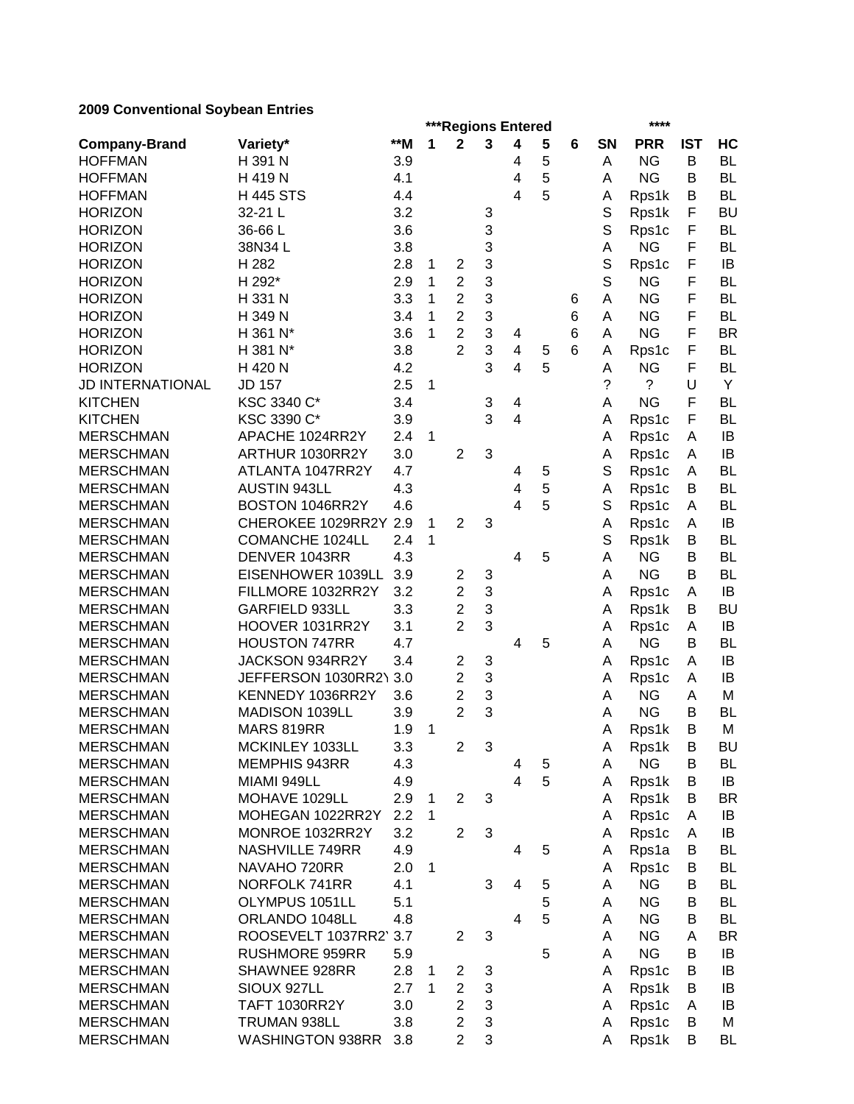|                         |                         |       |              |                |                | ***Regions Entered      |   |   | ****      |                          |            |           |  |
|-------------------------|-------------------------|-------|--------------|----------------|----------------|-------------------------|---|---|-----------|--------------------------|------------|-----------|--|
| <b>Company-Brand</b>    | Variety*                | $**M$ | 1            | $\mathbf{2}$   | 3              | 4                       | 5 | 6 | <b>SN</b> | <b>PRR</b>               | <b>IST</b> | HC        |  |
| <b>HOFFMAN</b>          | H 391 N                 | 3.9   |              |                |                | 4                       | 5 |   | Α         | <b>NG</b>                | В          | <b>BL</b> |  |
| <b>HOFFMAN</b>          | H 419 N                 | 4.1   |              |                |                | 4                       | 5 |   | A         | <b>NG</b>                | B          | <b>BL</b> |  |
| <b>HOFFMAN</b>          | <b>H445 STS</b>         | 4.4   |              |                |                | 4                       | 5 |   | Α         | Rps1k                    | B          | <b>BL</b> |  |
| <b>HORIZON</b>          | 32-21 L                 | 3.2   |              |                | 3              |                         |   |   | S         | Rps1k                    | F          | <b>BU</b> |  |
| <b>HORIZON</b>          | 36-66L                  | 3.6   |              |                | 3              |                         |   |   | S         | Rps1c                    | F          | <b>BL</b> |  |
| <b>HORIZON</b>          | 38N34L                  | 3.8   |              |                | 3              |                         |   |   | Α         | <b>NG</b>                | F          | <b>BL</b> |  |
| <b>HORIZON</b>          | H 282                   | 2.8   | 1            | $\overline{2}$ | 3              |                         |   |   | S         | Rps1c                    | F          | IB        |  |
| <b>HORIZON</b>          | H 292*                  | 2.9   | 1            | $\overline{2}$ | 3              |                         |   |   | S         | <b>NG</b>                | F          | <b>BL</b> |  |
| <b>HORIZON</b>          | H 331 N                 | 3.3   | 1            | $\overline{2}$ | 3              |                         |   | 6 | A         | <b>NG</b>                | F          | <b>BL</b> |  |
| <b>HORIZON</b>          | H 349 N                 | 3.4   | 1            | $\overline{2}$ | 3              |                         |   | 6 | A         | <b>NG</b>                | F          | <b>BL</b> |  |
| <b>HORIZON</b>          | H 361 N*                | 3.6   | 1            | $\overline{2}$ | 3              | 4                       |   | 6 | Α         | <b>NG</b>                | F          | <b>BR</b> |  |
| <b>HORIZON</b>          | H 381 N*                | 3.8   |              | $\overline{2}$ | 3              | 4                       | 5 | 6 | А         | Rps1c                    | F          | <b>BL</b> |  |
| <b>HORIZON</b>          | H 420 N                 | 4.2   |              |                | 3              | 4                       | 5 |   | Α         | <b>NG</b>                | F          | <b>BL</b> |  |
| <b>JD INTERNATIONAL</b> | JD 157                  | 2.5   | 1            |                |                |                         |   |   | ?         | $\overline{\phantom{a}}$ | U          | Y         |  |
| <b>KITCHEN</b>          | KSC 3340 C*             | 3.4   |              |                | 3              | 4                       |   |   | A         | <b>NG</b>                | F          | <b>BL</b> |  |
| <b>KITCHEN</b>          | KSC 3390 C*             | 3.9   |              |                | 3              | 4                       |   |   | Α         | Rps1c                    | F          | <b>BL</b> |  |
| <b>MERSCHMAN</b>        | APACHE 1024RR2Y         | 2.4   | 1            |                |                |                         |   |   | Α         | Rps1c                    | A          | IB        |  |
| <b>MERSCHMAN</b>        | ARTHUR 1030RR2Y         | 3.0   |              | $\overline{2}$ | 3              |                         |   |   | Α         | Rps1c                    | A          | IB        |  |
| <b>MERSCHMAN</b>        | ATLANTA 1047RR2Y        | 4.7   |              |                |                | 4                       | 5 |   | S         | Rps1c                    | A          | <b>BL</b> |  |
| <b>MERSCHMAN</b>        | <b>AUSTIN 943LL</b>     | 4.3   |              |                |                | 4                       | 5 |   | A         | Rps1c                    | В          | <b>BL</b> |  |
| <b>MERSCHMAN</b>        | BOSTON 1046RR2Y         | 4.6   |              |                |                | 4                       | 5 |   | S         | Rps1c                    | A          | <b>BL</b> |  |
| <b>MERSCHMAN</b>        | CHEROKEE 1029RR2Y       | 2.9   | 1            | $\overline{2}$ | 3              |                         |   |   | A         | Rps1c                    | A          | IB        |  |
| <b>MERSCHMAN</b>        | <b>COMANCHE 1024LL</b>  | 2.4   | 1            |                |                |                         |   |   | S         | Rps1k                    | В          | <b>BL</b> |  |
| <b>MERSCHMAN</b>        | DENVER 1043RR           | 4.3   |              |                |                | $\overline{\mathbf{4}}$ | 5 |   | Α         | <b>NG</b>                | B          | <b>BL</b> |  |
| <b>MERSCHMAN</b>        | EISENHOWER 1039LL       | 3.9   |              | $\overline{2}$ | 3              |                         |   |   | Α         | <b>NG</b>                | B          | <b>BL</b> |  |
| <b>MERSCHMAN</b>        | FILLMORE 1032RR2Y       | 3.2   |              | $\overline{2}$ | 3              |                         |   |   | Α         | Rps1c                    | A          | IB        |  |
| <b>MERSCHMAN</b>        | GARFIELD 933LL          | 3.3   |              | $\overline{2}$ | 3              |                         |   |   | A         | Rps1k                    | В          | <b>BU</b> |  |
| <b>MERSCHMAN</b>        | HOOVER 1031RR2Y         | 3.1   |              | $\overline{2}$ | 3              |                         |   |   | A         | Rps1c                    | A          | IB        |  |
| <b>MERSCHMAN</b>        | <b>HOUSTON 747RR</b>    | 4.7   |              |                |                | 4                       | 5 |   | A         | <b>NG</b>                | B          | <b>BL</b> |  |
| <b>MERSCHMAN</b>        | JACKSON 934RR2Y         | 3.4   |              | $\overline{c}$ | 3              |                         |   |   | Α         | Rps1c                    | A          | IB        |  |
| <b>MERSCHMAN</b>        | JEFFERSON 1030RR2\      | 3.0   |              | $\overline{2}$ | 3              |                         |   |   | Α         | Rps1c                    | A          | IB        |  |
| <b>MERSCHMAN</b>        | KENNEDY 1036RR2Y        | 3.6   |              | $\overline{2}$ | 3              |                         |   |   | A         | <b>NG</b>                | Α          | M         |  |
| <b>MERSCHMAN</b>        | MADISON 1039LL          | 3.9   |              | $\overline{2}$ | 3              |                         |   |   | A         | <b>NG</b>                | B          | <b>BL</b> |  |
| <b>MERSCHMAN</b>        | MARS 819RR              | 1.9   | 1            |                |                |                         |   |   | Α         | Rps1k                    | в          | M         |  |
| <b>MERSCHMAN</b>        | MCKINLEY 1033LL         | 3.3   |              | $\overline{2}$ | 3              |                         |   |   | A         | Rps1k                    | Β          | BU        |  |
| <b>MERSCHMAN</b>        | MEMPHIS 943RR           | 4.3   |              |                |                | 4                       | 5 |   | A         | <b>NG</b>                | В          | BL        |  |
| <b>MERSCHMAN</b>        | MIAMI 949LL             | 4.9   |              |                |                | 4                       | 5 |   | A         | Rps1k                    | В          | IB        |  |
| <b>MERSCHMAN</b>        | MOHAVE 1029LL           | 2.9   | 1            | $\overline{2}$ | 3              |                         |   |   | Α         | Rps1k                    | В          | BR        |  |
| <b>MERSCHMAN</b>        | MOHEGAN 1022RR2Y        | 2.2   | 1            |                |                |                         |   |   | A         | Rps1c                    | A          | IB        |  |
| <b>MERSCHMAN</b>        | MONROE 1032RR2Y         | 3.2   |              | $\overline{2}$ | $\mathfrak{B}$ |                         |   |   | A         | Rps1c                    | A          | IB        |  |
| <b>MERSCHMAN</b>        | NASHVILLE 749RR         | 4.9   |              |                |                | 4                       | 5 |   | A         | Rps1a                    | В          | BL        |  |
| <b>MERSCHMAN</b>        | NAVAHO 720RR            | 2.0   | 1            |                |                |                         |   |   | A         | Rps1c                    | B          | BL        |  |
| <b>MERSCHMAN</b>        | NORFOLK 741RR           | 4.1   |              |                | 3              | $\overline{4}$          | 5 |   | Α         | <b>NG</b>                | В          | BL        |  |
| <b>MERSCHMAN</b>        | OLYMPUS 1051LL          | 5.1   |              |                |                |                         | 5 |   | A         | <b>NG</b>                | В          | <b>BL</b> |  |
| <b>MERSCHMAN</b>        | ORLANDO 1048LL          | 4.8   |              |                |                | 4                       | 5 |   | A         | <b>NG</b>                | B          | BL        |  |
| <b>MERSCHMAN</b>        | ROOSEVELT 1037RR2'      | 3.7   |              | $\overline{2}$ | 3              |                         |   |   | Α         | <b>NG</b>                | A          | <b>BR</b> |  |
| <b>MERSCHMAN</b>        | <b>RUSHMORE 959RR</b>   | 5.9   |              |                |                |                         | 5 |   | A         | <b>NG</b>                | B          | IB        |  |
| <b>MERSCHMAN</b>        | SHAWNEE 928RR           | 2.8   | 1            | 2              | 3              |                         |   |   | Α         | Rps1c                    | B          | IB        |  |
| <b>MERSCHMAN</b>        | SIOUX 927LL             | 2.7   | $\mathbf{1}$ | $\overline{2}$ | $\sqrt{3}$     |                         |   |   | A         | Rps1k                    | в          | IB        |  |
| <b>MERSCHMAN</b>        | <b>TAFT 1030RR2Y</b>    | 3.0   |              | $\overline{2}$ | 3              |                         |   |   | A         | Rps1c                    | A          | IB        |  |
| <b>MERSCHMAN</b>        | TRUMAN 938LL            | 3.8   |              | $\overline{2}$ | 3              |                         |   |   | A         | Rps1c                    | В          | M         |  |
| <b>MERSCHMAN</b>        | <b>WASHINGTON 938RR</b> | 3.8   |              | $\overline{2}$ | $\sqrt{3}$     |                         |   |   | Α         | Rps1k                    | В          | BL        |  |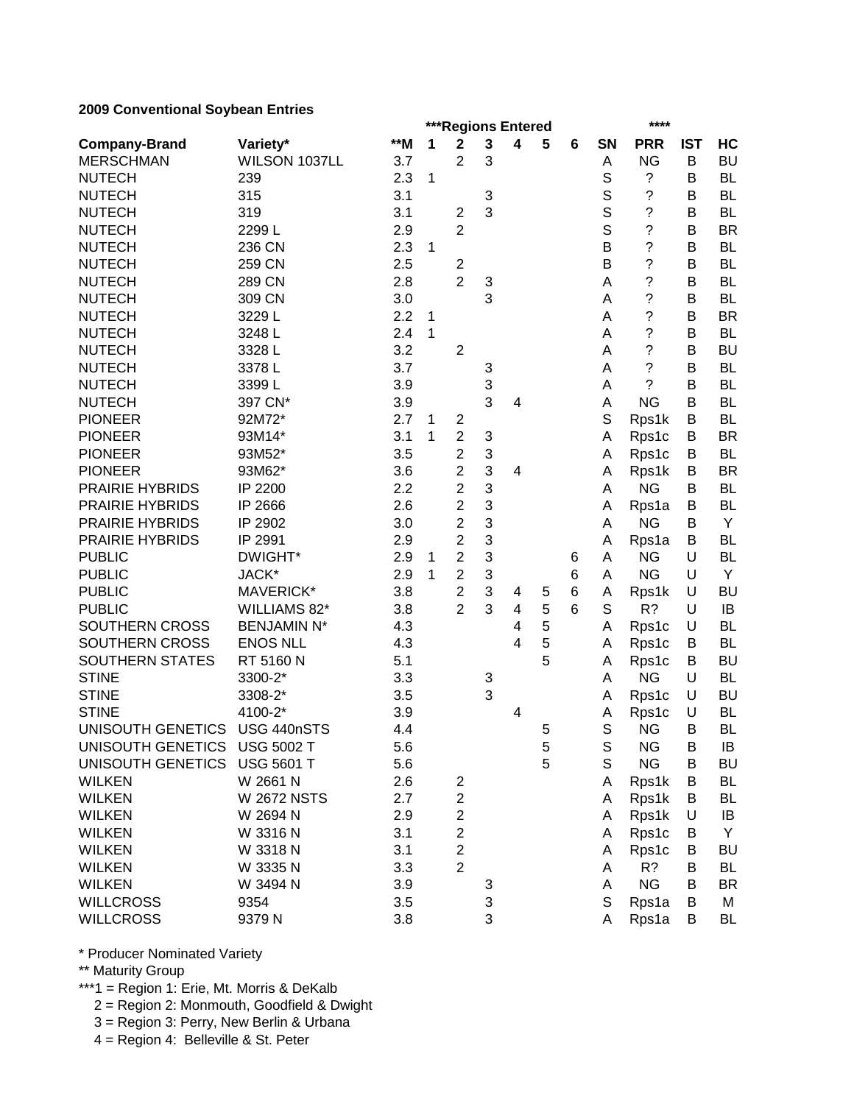|                              |                    |       |              | ***Regions Entered      |   |                         |   |   |             | ****               |            |           |
|------------------------------|--------------------|-------|--------------|-------------------------|---|-------------------------|---|---|-------------|--------------------|------------|-----------|
| <b>Company-Brand</b>         | Variety*           | $*$ M | 1            | $\mathbf 2$             | 3 | 4                       | 5 | 6 | <b>SN</b>   | <b>PRR</b>         | <b>IST</b> | HC        |
| <b>MERSCHMAN</b>             | WILSON 1037LL      | 3.7   |              | $\overline{2}$          | 3 |                         |   |   | A           | <b>NG</b>          | B          | <b>BU</b> |
| <b>NUTECH</b>                | 239                | 2.3   | 1            |                         |   |                         |   |   | S           | ?                  | В          | <b>BL</b> |
| <b>NUTECH</b>                | 315                | 3.1   |              |                         | 3 |                         |   |   | S           | ?                  | B          | <b>BL</b> |
| <b>NUTECH</b>                | 319                | 3.1   |              | $\overline{c}$          | 3 |                         |   |   | S           | ?                  | В          | <b>BL</b> |
| <b>NUTECH</b>                | 2299L              | 2.9   |              | $\overline{2}$          |   |                         |   |   | S           | $\overline{\cdot}$ | B          | <b>BR</b> |
| <b>NUTECH</b>                | 236 CN             | 2.3   | $\mathbf{1}$ |                         |   |                         |   |   | B           | $\overline{\cdot}$ | В          | <b>BL</b> |
| <b>NUTECH</b>                | 259 CN             | 2.5   |              | $\overline{c}$          |   |                         |   |   | B           | $\overline{\cdot}$ | B          | <b>BL</b> |
| <b>NUTECH</b>                | 289 CN             | 2.8   |              | $\overline{2}$          | 3 |                         |   |   | A           | $\ddot{\text{ }2}$ | B          | <b>BL</b> |
| <b>NUTECH</b>                | 309 CN             | 3.0   |              |                         | 3 |                         |   |   | A           | $\overline{\cdot}$ | В          | <b>BL</b> |
| <b>NUTECH</b>                | 3229L              | 2.2   | 1            |                         |   |                         |   |   | A           | $\tilde{?}$        | В          | <b>BR</b> |
| <b>NUTECH</b>                | 3248L              | 2.4   | $\mathbf{1}$ |                         |   |                         |   |   | A           | $\tilde{?}$        | B          | <b>BL</b> |
| <b>NUTECH</b>                | 3328L              | 3.2   |              | $\overline{2}$          |   |                         |   |   | Α           | ?                  | B          | <b>BU</b> |
| <b>NUTECH</b>                | 3378L              | 3.7   |              |                         | 3 |                         |   |   | Α           | ?                  | В          | <b>BL</b> |
| <b>NUTECH</b>                | 3399L              | 3.9   |              |                         | 3 |                         |   |   | Α           | ?                  | B          | <b>BL</b> |
| <b>NUTECH</b>                | 397 CN*            | 3.9   |              |                         | 3 | 4                       |   |   | A           | <b>NG</b>          | B          | <b>BL</b> |
| <b>PIONEER</b>               | 92M72*             | 2.7   | $\mathbf 1$  | 2                       |   |                         |   |   | $\mathbb S$ | Rps1k              | B          | <b>BL</b> |
| <b>PIONEER</b>               | 93M14*             | 3.1   | 1            | $\overline{2}$          | 3 |                         |   |   | A           | Rps1c              | В          | <b>BR</b> |
| <b>PIONEER</b>               | 93M52*             | 3.5   |              | $\overline{2}$          | 3 |                         |   |   | Α           | Rps1c              | В          | <b>BL</b> |
| <b>PIONEER</b>               | 93M62*             | 3.6   |              | $\overline{2}$          | 3 | 4                       |   |   | A           | Rps1k              | B          | <b>BR</b> |
| PRAIRIE HYBRIDS              | IP 2200            | 2.2   |              | $\overline{2}$          | 3 |                         |   |   | Α           | <b>NG</b>          | В          | <b>BL</b> |
| <b>PRAIRIE HYBRIDS</b>       | IP 2666            | 2.6   |              | $\overline{c}$          | 3 |                         |   |   | A           | Rps1a              | B          | <b>BL</b> |
| <b>PRAIRIE HYBRIDS</b>       | IP 2902            | 3.0   |              | $\overline{c}$          | 3 |                         |   |   | Α           | <b>NG</b>          | B          | Y         |
| PRAIRIE HYBRIDS              | IP 2991            | 2.9   |              | $\overline{2}$          | 3 |                         |   |   | A           | Rps1a              | В          | <b>BL</b> |
| <b>PUBLIC</b>                | DWIGHT*            | 2.9   | 1            | $\overline{2}$          | 3 |                         |   | 6 | A           | <b>NG</b>          | U          | <b>BL</b> |
| <b>PUBLIC</b>                | JACK*              | 2.9   | $\mathbf{1}$ | $\overline{2}$          | 3 |                         |   | 6 | A           | <b>NG</b>          | U          | Y         |
| <b>PUBLIC</b>                | MAVERICK*          | 3.8   |              | $\overline{c}$          | 3 | 4                       | 5 | 6 | A           | Rps1k              | U          | <b>BU</b> |
| <b>PUBLIC</b>                | WILLIAMS 82*       | 3.8   |              | $\overline{2}$          | 3 | $\overline{\mathbf{4}}$ | 5 | 6 | S           | R?                 | U          | IB        |
| SOUTHERN CROSS               | <b>BENJAMIN N*</b> | 4.3   |              |                         |   | $\overline{\mathbf{4}}$ | 5 |   | Α           | Rps1c              | U          | <b>BL</b> |
| SOUTHERN CROSS               | <b>ENOS NLL</b>    | 4.3   |              |                         |   | 4                       | 5 |   | Α           | Rps1c              | В          | <b>BL</b> |
| SOUTHERN STATES              | RT 5160 N          | 5.1   |              |                         |   |                         | 5 |   | Α           | Rps1c              | В          | <b>BU</b> |
| <b>STINE</b>                 | 3300-2*            | 3.3   |              |                         | 3 |                         |   |   | Α           | <b>NG</b>          | U          | <b>BL</b> |
| <b>STINE</b>                 | 3308-2*            | 3.5   |              |                         | 3 |                         |   |   | Α           | Rps1c              | U          | <b>BU</b> |
| <b>STINE</b>                 | 4100-2*            | 3.9   |              |                         |   | 4                       |   |   | Α           | Rps1c              | U          | BL        |
| <b>UNISOUTH GENETICS</b>     | USG 440nSTS        | 4.4   |              |                         |   |                         | 5 |   | $\mathbb S$ | <b>NG</b>          | В          | <b>BL</b> |
| UNISOUTH GENETICS USG 5002 T |                    | 5.6   |              |                         |   |                         | 5 |   | $\mathbb S$ | NG                 | B          | IB        |
| UNISOUTH GENETICS USG 5601 T |                    | 5.6   |              |                         |   |                         | 5 |   | S           | <b>NG</b>          | В          | BU        |
| <b>WILKEN</b>                | W 2661 N           | 2.6   |              | $\overline{\mathbf{c}}$ |   |                         |   |   | Α           | Rps1k              | Β          | BL        |
| <b>WILKEN</b>                | <b>W 2672 NSTS</b> | 2.7   |              | $\overline{\mathbf{c}}$ |   |                         |   |   | Α           | Rps1k              | В          | BL        |
| <b>WILKEN</b>                | W 2694 N           | 2.9   |              | $\overline{c}$          |   |                         |   |   | Α           | Rps1k              | U          | IB        |
| <b>WILKEN</b>                | W 3316 N           | 3.1   |              | $\overline{c}$          |   |                         |   |   | Α           | Rps1c              | B          | Y         |
| <b>WILKEN</b>                | W 3318 N           | 3.1   |              | $\overline{c}$          |   |                         |   |   | Α           | Rps1c              | В          | BU        |
| <b>WILKEN</b>                | W 3335 N           | 3.3   |              | $\overline{2}$          |   |                         |   |   | A           | R?                 | B          | BL        |
| <b>WILKEN</b>                | W 3494 N           | 3.9   |              |                         | 3 |                         |   |   | Α           | <b>NG</b>          | в          | BR        |
| <b>WILLCROSS</b>             | 9354               | 3.5   |              |                         | 3 |                         |   |   | $\mathbb S$ | Rps1a              | В          | M         |
| <b>WILLCROSS</b>             | 9379N              | 3.8   |              |                         | 3 |                         |   |   | Α           | Rps1a              | В          | BL        |

\* Producer Nominated Variety

\*\* Maturity Group

\*\*\*1 = Region 1: Erie, Mt. Morris & DeKalb

2 = Region 2: Monmouth, Goodfield & Dwight

3 = Region 3: Perry, New Berlin & Urbana

4 = Region 4: Belleville & St. Peter